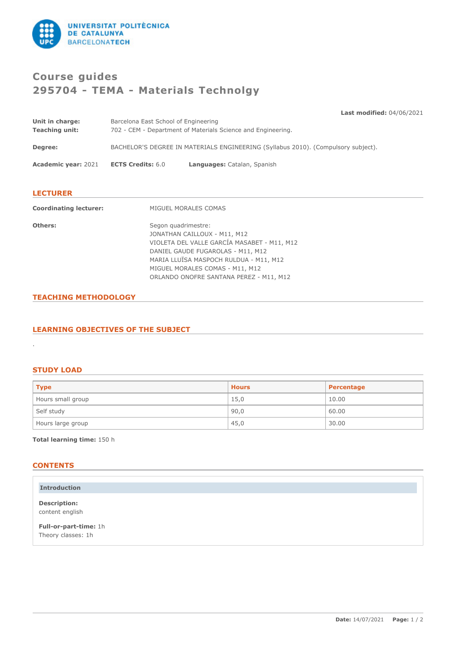

# **Course guides 295704 - TEMA - Materials Technolgy**

|                               |                                                                                   | <b>Last modified: 04/06/2021</b> |  |  |
|-------------------------------|-----------------------------------------------------------------------------------|----------------------------------|--|--|
| Unit in charge:               | Barcelona East School of Engineering                                              |                                  |  |  |
| <b>Teaching unit:</b>         | 702 - CEM - Department of Materials Science and Engineering.                      |                                  |  |  |
| Degree:                       | BACHELOR'S DEGREE IN MATERIALS ENGINEERING (Syllabus 2010). (Compulsory subject). |                                  |  |  |
| <b>Academic year: 2021</b>    | <b>ECTS Credits: 6.0</b>                                                          | Languages: Catalan, Spanish      |  |  |
| <b>LECTURER</b>               |                                                                                   |                                  |  |  |
| <b>Coordinating lecturer:</b> | MIGUEL MORALES COMAS                                                              |                                  |  |  |

| Others: | Segon quadrimestre:                         |
|---------|---------------------------------------------|
|         | JONATHAN CAILLOUX - M11, M12                |
|         | VIOLETA DEL VALLE GARCÍA MASABET - M11, M12 |
|         | DANIEL GAUDE FUGAROLAS - M11, M12           |
|         | MARIA LLUÏSA MASPOCH RULDUA - M11, M12      |
|         | MIGUEL MORALES COMAS - M11, M12             |
|         | ORLANDO ONOFRE SANTANA PEREZ - M11, M12     |
|         |                                             |

## **TEACHING METHODOLOGY**

## **LEARNING OBJECTIVES OF THE SUBJECT**

## **STUDY LOAD**

.

| <b>Type</b>       | <b>Hours</b> | Percentage |
|-------------------|--------------|------------|
| Hours small group | 15,0         | 10.00      |
| Self study        | 90,0         | 60.00      |
| Hours large group | 45,0         | 30.00      |

**Total learning time:** 150 h

# **CONTENTS**

| <b>Introduction</b>                         |  |
|---------------------------------------------|--|
| <b>Description:</b><br>content english      |  |
| Full-or-part-time: 1h<br>Theory classes: 1h |  |